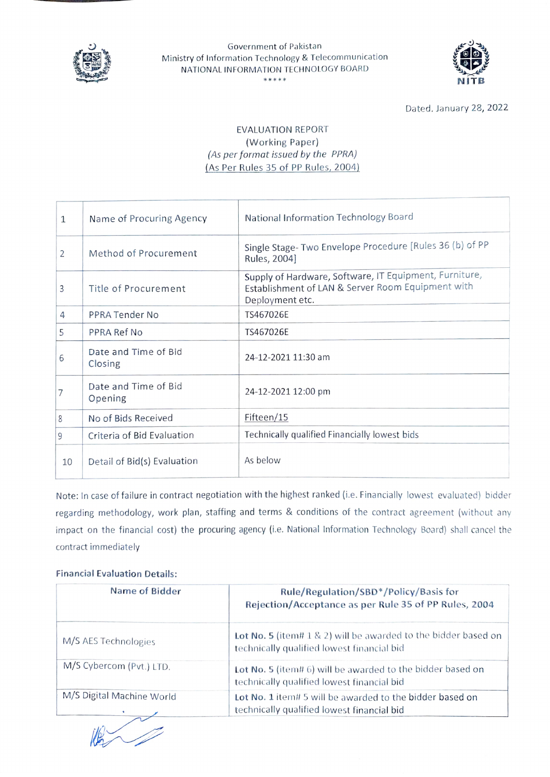

### Government of Pakistan Ministry of Information Technology & Telecommunication NATIONAL INFORMATION TECHNOLOGY BOARD \*\*\*\*\* NITB



Dated. January 28, 2022

# EVALUATION REPORT (Working Paper) (As per format issued by the PPRA) (As Per Rules 35of PP Rules, 2004)

| $\mathbf{1}$   | Name of Procuring Agency        | National Information Technology Board                                                                                          |
|----------------|---------------------------------|--------------------------------------------------------------------------------------------------------------------------------|
| 2              | Method of Procurement           | Single Stage- Two Envelope Procedure [Rules 36 (b) of PP<br>Rules, 2004]                                                       |
| 3              | Title of Procurement            | Supply of Hardware, Software, IT Equipment, Furniture,<br>Establishment of LAN & Server Room Equipment with<br>Deployment etc. |
| $\overline{4}$ | PPRA Tender No                  | TS467026E                                                                                                                      |
| 5              | PPRA Ref No                     | TS467026E                                                                                                                      |
| 6              | Date and Time of Bid<br>Closing | 24-12-2021 11:30 am                                                                                                            |
| 7              | Date and Time of Bid<br>Opening | 24-12-2021 12:00 pm                                                                                                            |
| 8              | No of Bids Received             | Fifteen/15                                                                                                                     |
| 9              | Criteria of Bid Evaluation      | Technically qualified Financially lowest bids                                                                                  |
| 10             | Detail of Bid(s) Evaluation     | As below                                                                                                                       |

Note: In case of failure in contract negotiation with the highest ranked (i.e. Financially lowest evaluated) bidder regarding methodology, work plan, staffing and terms & conditions of the contract agreement (without any impact on the financial cost) the procuring agency (i.e. National lnformation Technology Board) shall cancel the contract immediately

## Financial Evaluation Details:

| Name of Bidder            | Rule/Regulation/SBD*/Policy/Basis for<br>Rejection/Acceptance as per Rule 35 of PP Rules, 2004                   |
|---------------------------|------------------------------------------------------------------------------------------------------------------|
| M/S AES Technologies      | Lot No. 5 (item# $1 \& 2$ ) will be awarded to the bidder based on<br>technically qualified lowest financial bid |
| M/S Cybercom (Pvt.) LTD.  | Lot No. 5 (item# 6) will be awarded to the bidder based on<br>technically qualified lowest financial bid         |
| M/S Digital Machine World | Lot No. 1 item# 5 will be awarded to the bidder based on<br>technically qualified lowest financial bid           |

 $\begin{array}{c} \begin{array}{c} \begin{array}{c} \end{array} \end{array}$